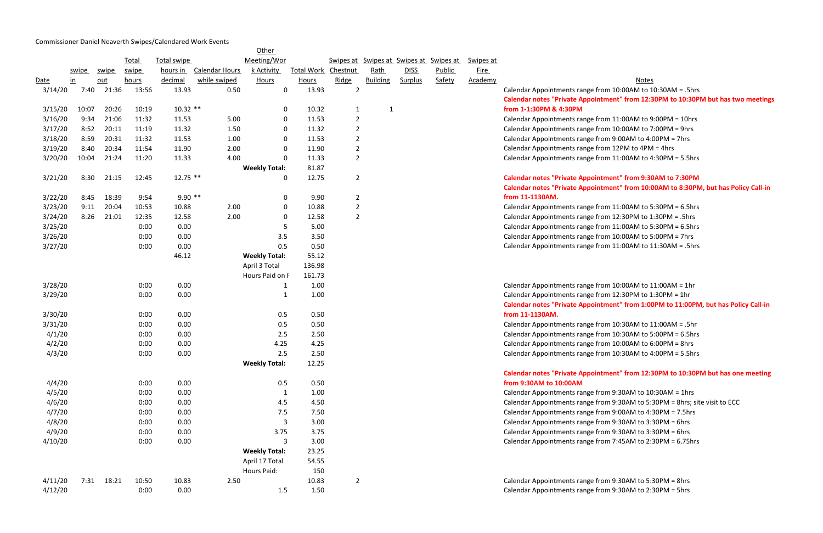## Commissioner Daniel Neaverth Swipes/Calendared Work Events

<u>Notes</u> from 10:00AM to 10:30AM = .5hrs **Calendar notes "Private Appointment" from 12:30PM to 10:30PM but has two meetings** 

from 11:00AM to 9:00PM = 10hrs from 10:00AM to 7:00PM = 9hrs  $1$  from 9:00AM to 4:00PM = 7hrs  $12PM$  to  $4PM = 4$ hrs  $11:00$ AM to 4:30PM = 5.5hrs

## 3/21/20 8:30 21:15 12:45 12.75 \*\* 0 12.75 2 **Calendar notes "Private Appointment" from 9:30AM to 7:30PM Calendar 10:000 Triple Mark 10 Set 10 Point Franch Policy Call-in Leapes 3: 0:00 Point 10:00 Policy Call-in**

from 11:00AM to 5:30PM = 6.5hrs  $from 12:30PM to 1:30PM = .5hrs$  $3$  from 11:00AM to 5:30PM = 6.5hrs  $3/2$  from 10:00AM to 5:00PM = 7hrs  $3/27$  from 11:00AM to 11:30AM = .5hrs

 $3/2$  from 10:00AM to 11:00AM = 1hr  $\frac{1}{2}$  from 12:30PM to 1:30PM = 1hr **Caldemar 6 Finds 1:00PM to 11:00PM, but has Policy Call-in** 

 $30A$ M to  $11:00$ AM = .5hr  $4$  from 10:30AM to 5:00PM = 6.5hrs  $4$  from 10:00AM to 6:00PM = 8hrs  $4.10 \div 10.30$  AM to 4:00PM = 5.5hrs

## **Calendar 12:30PM to 10:30PM but has one meeting**

 from 9:30AM to 10:30AM = 1hrs from 9:30AM to 5:30PM = 8hrs; site visit to ECC  $4.5$  from 9:00AM to 4:30PM = 7.5hrs from 9:30AM to 3:30PM = 6hrs from 9:30AM to 3:30PM = 6hrs from 7:45AM to 2:30PM = 6.75hrs

```
4 from 9:30AM to 5:30PM = 8hrs
4 from 9:30AM to 2:30PM = 5hrs
```

|         |               |       |       |                    |                       | Other                |                   |                |                 |                |                                         |             |                                     |
|---------|---------------|-------|-------|--------------------|-----------------------|----------------------|-------------------|----------------|-----------------|----------------|-----------------------------------------|-------------|-------------------------------------|
|         |               |       | Total | <b>Total swipe</b> |                       | Meeting/Wor          |                   |                |                 |                | Swipes at Swipes at Swipes at Swipes at | Swipes at   |                                     |
|         | swipe         | swipe | swipe | hours in           | <b>Calendar Hours</b> | k Activity           | <b>Total Work</b> | Chestnut       | Rath            | <b>DISS</b>    | <b>Public</b>                           | <b>Fire</b> |                                     |
| Date    | $\mathbf{in}$ | out   | hours | decimal            | while swiped          | Hours                | <b>Hours</b>      | Ridge          | <b>Building</b> | <b>Surplus</b> | Safety                                  | Academy     |                                     |
| 3/14/20 | 7:40          | 21:36 | 13:56 | 13.93              | 0.50                  | 0                    | 13.93             | $\overline{2}$ |                 |                |                                         |             | <b>Calendar Appointments range</b>  |
|         |               |       |       |                    |                       |                      |                   |                |                 |                |                                         |             | <b>Calendar notes "Private Appo</b> |
| 3/15/20 | 10:07         | 20:26 | 10:19 | $10.32$ **         |                       | 0                    | 10.32             | $\mathbf{1}$   | $\mathbf{1}$    |                |                                         |             | from 1-1:30PM & 4:30PM              |
| 3/16/20 | 9:34          | 21:06 | 11:32 | 11.53              | 5.00                  | 0                    | 11.53             | $\overline{2}$ |                 |                |                                         |             | <b>Calendar Appointments range</b>  |
| 3/17/20 | 8:52          | 20:11 | 11:19 | 11.32              | 1.50                  | 0                    | 11.32             | $\overline{2}$ |                 |                |                                         |             | <b>Calendar Appointments range</b>  |
| 3/18/20 | 8:59          | 20:31 | 11:32 | 11.53              | 1.00                  | 0                    | 11.53             | $\overline{2}$ |                 |                |                                         |             | <b>Calendar Appointments range</b>  |
| 3/19/20 | 8:40          | 20:34 | 11:54 | 11.90              | 2.00                  | 0                    | 11.90             | $\overline{2}$ |                 |                |                                         |             | <b>Calendar Appointments range</b>  |
| 3/20/20 | 10:04         | 21:24 | 11:20 | 11.33              | 4.00                  | 0                    | 11.33             | $\overline{2}$ |                 |                |                                         |             | <b>Calendar Appointments range</b>  |
|         |               |       |       |                    |                       | <b>Weekly Total:</b> | 81.87             |                |                 |                |                                         |             |                                     |
| 3/21/20 | 8:30          | 21:15 | 12:45 | $12.75$ **         |                       | 0                    | 12.75             | $\overline{2}$ |                 |                |                                         |             | <b>Calendar notes "Private Appo</b> |
|         |               |       |       |                    |                       |                      |                   |                |                 |                |                                         |             | <b>Calendar notes "Private Appo</b> |
| 3/22/20 | 8:45          | 18:39 | 9:54  | $9.90**$           |                       | 0                    | 9.90              | $\overline{2}$ |                 |                |                                         |             | from 11-1130AM.                     |
| 3/23/20 | 9:11          | 20:04 | 10:53 | 10.88              | 2.00                  | 0                    | 10.88             | $\overline{2}$ |                 |                |                                         |             | <b>Calendar Appointments range</b>  |
| 3/24/20 | 8:26          | 21:01 | 12:35 | 12.58              | 2.00                  | 0                    | 12.58             | $\overline{2}$ |                 |                |                                         |             | <b>Calendar Appointments range</b>  |
| 3/25/20 |               |       | 0:00  | 0.00               |                       | 5                    | 5.00              |                |                 |                |                                         |             | <b>Calendar Appointments range</b>  |
| 3/26/20 |               |       | 0:00  | 0.00               |                       | 3.5                  | 3.50              |                |                 |                |                                         |             | <b>Calendar Appointments range</b>  |
| 3/27/20 |               |       | 0:00  | 0.00               |                       | 0.5                  | 0.50              |                |                 |                |                                         |             | <b>Calendar Appointments range</b>  |
|         |               |       |       | 46.12              |                       | <b>Weekly Total:</b> | 55.12             |                |                 |                |                                         |             |                                     |
|         |               |       |       |                    |                       | April 3 Total        | 136.98            |                |                 |                |                                         |             |                                     |
|         |               |       |       |                    |                       | Hours Paid on I      | 161.73            |                |                 |                |                                         |             |                                     |
| 3/28/20 |               |       | 0:00  | 0.00               |                       | 1                    | 1.00              |                |                 |                |                                         |             | <b>Calendar Appointments range</b>  |
| 3/29/20 |               |       | 0:00  | 0.00               |                       | $\mathbf{1}$         | 1.00              |                |                 |                |                                         |             | <b>Calendar Appointments range</b>  |
|         |               |       |       |                    |                       |                      |                   |                |                 |                |                                         |             | <b>Calendar notes "Private Appo</b> |
| 3/30/20 |               |       | 0:00  | 0.00               |                       | 0.5                  | 0.50              |                |                 |                |                                         |             | from 11-1130AM.                     |
| 3/31/20 |               |       | 0:00  | 0.00               |                       | 0.5                  | 0.50              |                |                 |                |                                         |             | <b>Calendar Appointments range</b>  |
| 4/1/20  |               |       | 0:00  | 0.00               |                       | 2.5                  | 2.50              |                |                 |                |                                         |             | <b>Calendar Appointments range</b>  |
| 4/2/20  |               |       | 0:00  | 0.00               |                       | 4.25                 | 4.25              |                |                 |                |                                         |             | <b>Calendar Appointments range</b>  |
| 4/3/20  |               |       | 0:00  | 0.00               |                       | 2.5                  | 2.50              |                |                 |                |                                         |             | <b>Calendar Appointments range</b>  |
|         |               |       |       |                    |                       | <b>Weekly Total:</b> | 12.25             |                |                 |                |                                         |             |                                     |
|         |               |       |       |                    |                       |                      |                   |                |                 |                |                                         |             | <b>Calendar notes "Private Appo</b> |
| 4/4/20  |               |       | 0:00  | 0.00               |                       | 0.5                  | 0.50              |                |                 |                |                                         |             | from 9:30AM to 10:00AM              |
| 4/5/20  |               |       | 0:00  | 0.00               |                       | $\mathbf{1}$         | 1.00              |                |                 |                |                                         |             | <b>Calendar Appointments range</b>  |
| 4/6/20  |               |       | 0:00  | 0.00               |                       | 4.5                  | 4.50              |                |                 |                |                                         |             | <b>Calendar Appointments range</b>  |
| 4/7/20  |               |       | 0:00  | 0.00               |                       | 7.5                  | 7.50              |                |                 |                |                                         |             | <b>Calendar Appointments range</b>  |
| 4/8/20  |               |       | 0:00  | 0.00               |                       | 3                    | 3.00              |                |                 |                |                                         |             | <b>Calendar Appointments range</b>  |
| 4/9/20  |               |       | 0:00  | 0.00               |                       | 3.75                 | 3.75              |                |                 |                |                                         |             | <b>Calendar Appointments range</b>  |
| 4/10/20 |               |       | 0:00  | 0.00               |                       | 3                    | 3.00              |                |                 |                |                                         |             | <b>Calendar Appointments range</b>  |
|         |               |       |       |                    |                       | <b>Weekly Total:</b> | 23.25             |                |                 |                |                                         |             |                                     |
|         |               |       |       |                    |                       | April 17 Total       | 54.55             |                |                 |                |                                         |             |                                     |
|         |               |       |       |                    |                       | Hours Paid:          | 150               |                |                 |                |                                         |             |                                     |
| 4/11/20 | 7:31          | 18:21 | 10:50 | 10.83              | 2.50                  |                      | 10.83             | $\overline{2}$ |                 |                |                                         |             | <b>Calendar Appointments range</b>  |
| 4/12/20 |               |       | 0:00  | 0.00               |                       | 1.5                  | 1.50              |                |                 |                |                                         |             | <b>Calendar Appointments range</b>  |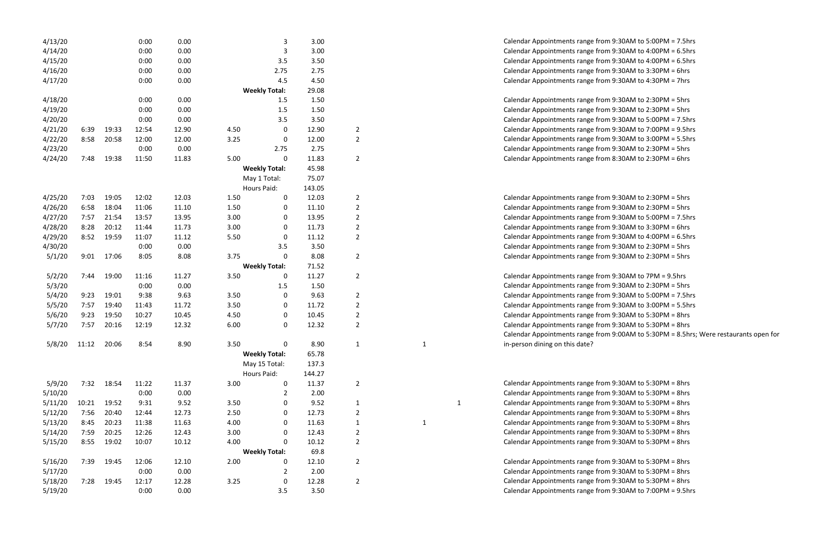| 4/13/20 |       |       | 0:00  | 0.00  |      |                      | 3.00   |                |              |              | Calendar Appointments range from 9:30AM to 5:00PM = 7.5hrs  |
|---------|-------|-------|-------|-------|------|----------------------|--------|----------------|--------------|--------------|-------------------------------------------------------------|
| 4/14/20 |       |       | 0:00  | 0.00  |      | 3                    | 3.00   |                |              |              | Calendar Appointments range from 9:30AM to 4:00PM = 6.5hrs  |
| 4/15/20 |       |       | 0:00  | 0.00  |      | 3.5                  | 3.50   |                |              |              | Calendar Appointments range from 9:30AM to 4:00PM = 6.5hrs  |
| 4/16/20 |       |       | 0:00  | 0.00  |      | 2.75                 | 2.75   |                |              |              | Calendar Appointments range from 9:30AM to 3:30PM = 6hrs    |
| 4/17/20 |       |       | 0:00  | 0.00  |      | 4.5                  | 4.50   |                |              |              | Calendar Appointments range from 9:30AM to 4:30PM = 7hrs    |
|         |       |       |       |       |      | <b>Weekly Total:</b> | 29.08  |                |              |              |                                                             |
| 4/18/20 |       |       | 0:00  | 0.00  |      | 1.5                  | 1.50   |                |              |              | Calendar Appointments range from 9:30AM to 2:30PM = 5hrs    |
| 4/19/20 |       |       | 0:00  | 0.00  |      | 1.5                  | 1.50   |                |              |              | Calendar Appointments range from 9:30AM to 2:30PM = 5hrs    |
| 4/20/20 |       |       | 0:00  | 0.00  |      | 3.5                  | 3.50   |                |              |              | Calendar Appointments range from 9:30AM to 5:00PM = 7.5hrs  |
| 4/21/20 | 6:39  | 19:33 | 12:54 | 12.90 | 4.50 | 0                    | 12.90  | 2              |              |              | Calendar Appointments range from 9:30AM to 7:00PM = 9.5hrs  |
| 4/22/20 | 8:58  | 20:58 | 12:00 | 12.00 | 3.25 | 0                    | 12.00  | $\overline{2}$ |              |              | Calendar Appointments range from 9:30AM to 3:00PM = 5.5hrs  |
| 4/23/20 |       |       | 0:00  | 0.00  |      | 2.75                 | 2.75   |                |              |              | Calendar Appointments range from 9:30AM to 2:30PM = 5hrs    |
| 4/24/20 | 7:48  | 19:38 | 11:50 | 11.83 | 5.00 | 0                    | 11.83  | $\overline{2}$ |              |              | Calendar Appointments range from 8:30AM to 2:30PM = 6hrs    |
|         |       |       |       |       |      | <b>Weekly Total:</b> | 45.98  |                |              |              |                                                             |
|         |       |       |       |       |      | May 1 Total:         | 75.07  |                |              |              |                                                             |
|         |       |       |       |       |      | Hours Paid:          | 143.05 |                |              |              |                                                             |
| 4/25/20 | 7:03  | 19:05 | 12:02 | 12.03 | 1.50 | 0                    | 12.03  | 2              |              |              | Calendar Appointments range from 9:30AM to 2:30PM = 5hrs    |
| 4/26/20 | 6:58  | 18:04 | 11:06 | 11.10 | 1.50 | 0                    | 11.10  | $\overline{2}$ |              |              | Calendar Appointments range from 9:30AM to 2:30PM = 5hrs    |
| 4/27/20 | 7:57  | 21:54 | 13:57 | 13.95 | 3.00 | 0                    | 13.95  | $\overline{2}$ |              |              | Calendar Appointments range from 9:30AM to 5:00PM = 7.5hrs  |
| 4/28/20 | 8:28  | 20:12 | 11:44 | 11.73 | 3.00 | 0                    | 11.73  | $\overline{2}$ |              |              | Calendar Appointments range from 9:30AM to 3:30PM = 6hrs    |
| 4/29/20 | 8:52  | 19:59 | 11:07 | 11.12 | 5.50 | 0                    | 11.12  | $\overline{2}$ |              |              | Calendar Appointments range from 9:30AM to 4:00PM = 6.5hrs  |
| 4/30/20 |       |       | 0:00  | 0.00  |      | 3.5                  | 3.50   |                |              |              | Calendar Appointments range from 9:30AM to 2:30PM = 5hrs    |
| 5/1/20  | 9:01  | 17:06 | 8:05  | 8.08  | 3.75 | $\mathbf 0$          | 8.08   | 2              |              |              | Calendar Appointments range from 9:30AM to 2:30PM = 5hrs    |
|         |       |       |       |       |      | <b>Weekly Total:</b> | 71.52  |                |              |              |                                                             |
| 5/2/20  | 7:44  | 19:00 | 11:16 | 11.27 | 3.50 | 0                    | 11.27  | $\overline{2}$ |              |              | Calendar Appointments range from 9:30AM to 7PM = 9.5hrs     |
| 5/3/20  |       |       | 0:00  | 0.00  |      | 1.5                  | 1.50   |                |              |              | Calendar Appointments range from 9:30AM to 2:30PM = 5hrs    |
| 5/4/20  | 9:23  | 19:01 | 9:38  | 9.63  | 3.50 | 0                    | 9.63   | 2              |              |              | Calendar Appointments range from 9:30AM to 5:00PM = 7.5hrs  |
| 5/5/20  | 7:57  | 19:40 | 11:43 | 11.72 | 3.50 | 0                    | 11.72  | $\overline{2}$ |              |              | Calendar Appointments range from 9:30AM to 3:00PM = 5.5hrs  |
| 5/6/20  | 9:23  | 19:50 | 10:27 | 10.45 | 4.50 | 0                    | 10.45  | $\overline{2}$ |              |              | Calendar Appointments range from 9:30AM to 5:30PM = 8hrs    |
| 5/7/20  | 7:57  | 20:16 | 12:19 | 12.32 | 6.00 | 0                    | 12.32  | $\overline{2}$ |              |              | Calendar Appointments range from 9:30AM to 5:30PM = 8hrs    |
|         |       |       |       |       |      |                      |        |                |              |              | Calendar Appointments range from 9:00AM to 5:30PM = 8.5hrs; |
| 5/8/20  | 11:12 | 20:06 | 8:54  | 8.90  | 3.50 | 0                    | 8.90   | 1              |              |              | in-person dining on this date?                              |
|         |       |       |       |       |      | <b>Weekly Total:</b> | 65.78  |                |              |              |                                                             |
|         |       |       |       |       |      | May 15 Total:        | 137.3  |                |              |              |                                                             |
|         |       |       |       |       |      | Hours Paid:          | 144.27 |                |              |              |                                                             |
| 5/9/20  | 7:32  | 18:54 | 11:22 | 11.37 | 3.00 | 0                    | 11.37  | $\overline{2}$ |              |              | Calendar Appointments range from 9:30AM to 5:30PM = 8hrs    |
| 5/10/20 |       |       | 0:00  | 0.00  |      |                      | 2.00   |                |              |              | Calendar Appointments range from 9:30AM to 5:30PM = 8hrs    |
| 5/11/20 | 10:21 | 19:52 | 9:31  | 9.52  | 3.50 | 0                    | 9.52   | 1              |              | $\mathbf{1}$ | Calendar Appointments range from 9:30AM to 5:30PM = 8hrs    |
| 5/12/20 | 7:56  | 20:40 | 12:44 | 12.73 | 2.50 | 0                    | 12.73  | $\overline{2}$ |              |              | Calendar Appointments range from 9:30AM to 5:30PM = 8hrs    |
| 5/13/20 | 8:45  | 20:23 | 11:38 | 11.63 | 4.00 | 0                    | 11.63  | 1              | $\mathbf{1}$ |              | Calendar Appointments range from 9:30AM to 5:30PM = 8hrs    |
| 5/14/20 | 7:59  | 20:25 | 12:26 | 12.43 | 3.00 | 0                    | 12.43  | $\overline{2}$ |              |              | Calendar Appointments range from 9:30AM to 5:30PM = 8hrs    |
| 5/15/20 | 8:55  | 19:02 | 10:07 | 10.12 | 4.00 | 0                    | 10.12  | $\overline{2}$ |              |              | Calendar Appointments range from 9:30AM to 5:30PM = 8hrs    |
|         |       |       |       |       |      | <b>Weekly Total:</b> | 69.8   |                |              |              |                                                             |
| 5/16/20 | 7:39  | 19:45 | 12:06 | 12.10 | 2.00 | 0                    | 12.10  | $\overline{2}$ |              |              | Calendar Appointments range from 9:30AM to 5:30PM = 8hrs    |
| 5/17/20 |       |       | 0:00  | 0.00  |      | 2                    | 2.00   |                |              |              | Calendar Appointments range from 9:30AM to 5:30PM = 8hrs    |
| 5/18/20 | 7:28  | 19:45 | 12:17 | 12.28 | 3.25 | 0                    | 12.28  | $\overline{2}$ |              |              | Calendar Appointments range from 9:30AM to 5:30PM = 8hrs    |
| 5/19/20 |       |       | 0:00  | 0.00  |      | 3.5                  | 3.50   |                |              |              | Calendar Appointments range from 9:30AM to 7:00PM = 9.5hrs  |

```
10 \text{ g}e from 9:30AM to 5:00PM = 7.5hrs
age from 9:30AM to 4:00PM = 6.5hrs
1ge from 9:30AM to 4:00PM = 6.5hrs
ge from 9:30AM to 3:30PM = 6hrs
ge from 9:30AM to 4:30PM = 7hrs
1ge from 9:30AM to 2:30PM = 5hrs
1ge from 9:30AM to 2:30PM = 5hrs
1ge from 9:30AM to 5:00PM = 7.5hrs
ge from 9:30AM to 7:00PM = 9.5hrs
ge from 9:30AM to 3:00PM = 5.5hrs
ge from 9:30AM to 2:30PM = 5hrs
ge from 8:30AM to 2:30PM = 6hrs
ge from 9:30AM to 2:30PM = 5hrs
ge from 9:30AM to 2:30PM = 5hrs
1ge from 9:30AM to 5:00PM = 7.5hrs
ge from 9:30AM to 3:30PM = 6hrs
ge from 9:30AM to 4:00PM = 6.5hrs
1ge from 9:30AM to 2:30PM = 5hrs
ge from 9:30AM to 2:30PM = 5hrs
2 age from 9:30AM to 7PM = 9.5hrs
ge from 9:30AM to 2:30PM = 5hrs
ge from 9:30AM to 5:00PM = 7.5hrs
ge from 9:30AM to 3:00PM = 5.5hrs
ge from 9:30AM to 5:30PM = 8hrs
ge from 9:30AM to 5:30PM = 8hrs
ge from 9:00AM to 5:30PM = 8.5hrs; Were restaurants open for
ge from 9:30AM to 5:30PM = 8hrs
ge from 9:30AM to 5:30PM = 8hrs
1 ge from 9:30AM to 5:30PM = 8hrs
ge from 9:30AM to 5:30PM = 8hrs
1 ge from 9:30AM to 5:30PM = 8hrs
ge from 9:30AM to 5:30PM = 8hrs
ge from 9:30AM to 5:30PM = 8hrs
```

```
ge from 9:30AM to 5:30PM = 8hrs
ge from 9:30AM to 5:30PM = 8hrs
ge from 9:30AM to 5:30PM = 8hrs
```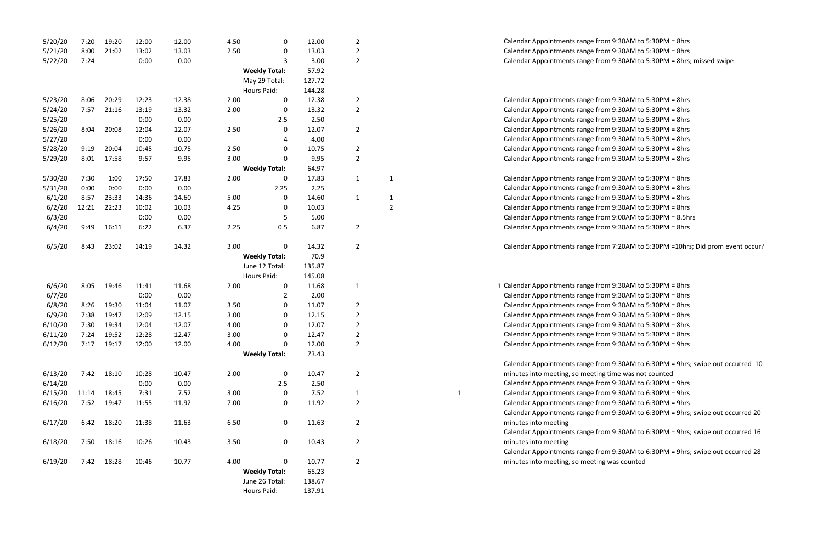| 5/20/20 | 7:20  | 19:20 | 12:00 | 12.00 | 4.50 | 0                    | 12.00  | $\overline{2}$ |                |              | Calendar Appointments range fron   |
|---------|-------|-------|-------|-------|------|----------------------|--------|----------------|----------------|--------------|------------------------------------|
| 5/21/20 | 8:00  | 21:02 | 13:02 | 13.03 | 2.50 | 0                    | 13.03  | $\overline{2}$ |                |              | Calendar Appointments range fron   |
| 5/22/20 | 7:24  |       | 0:00  | 0.00  |      | 3                    | 3.00   | $\overline{2}$ |                |              | Calendar Appointments range fron   |
|         |       |       |       |       |      | <b>Weekly Total:</b> | 57.92  |                |                |              |                                    |
|         |       |       |       |       |      | May 29 Total:        | 127.72 |                |                |              |                                    |
|         |       |       |       |       |      | <b>Hours Paid:</b>   | 144.28 |                |                |              |                                    |
| 5/23/20 | 8:06  | 20:29 | 12:23 | 12.38 | 2.00 | 0                    | 12.38  | $\overline{a}$ |                |              | Calendar Appointments range fron   |
| 5/24/20 | 7:57  | 21:16 | 13:19 | 13.32 | 2.00 | 0                    | 13.32  | $\overline{2}$ |                |              | Calendar Appointments range fron   |
| 5/25/20 |       |       | 0:00  | 0.00  |      | 2.5                  | 2.50   |                |                |              | Calendar Appointments range fron   |
| 5/26/20 | 8:04  | 20:08 | 12:04 | 12.07 | 2.50 | 0                    | 12.07  | $\overline{2}$ |                |              | Calendar Appointments range fron   |
| 5/27/20 |       |       | 0:00  | 0.00  |      | 4                    | 4.00   |                |                |              | Calendar Appointments range fron   |
| 5/28/20 | 9:19  | 20:04 | 10:45 | 10.75 | 2.50 | 0                    | 10.75  | $\overline{2}$ |                |              | Calendar Appointments range fron   |
| 5/29/20 | 8:01  | 17:58 | 9:57  | 9.95  | 3.00 | 0                    | 9.95   | $\overline{2}$ |                |              | Calendar Appointments range fron   |
|         |       |       |       |       |      | <b>Weekly Total:</b> | 64.97  |                |                |              |                                    |
| 5/30/20 | 7:30  | 1:00  | 17:50 | 17.83 | 2.00 | 0                    | 17.83  | $\mathbf{1}$   | $\mathbf{1}$   |              | Calendar Appointments range fron   |
| 5/31/20 | 0:00  | 0:00  | 0:00  | 0.00  |      | 2.25                 | 2.25   |                |                |              | Calendar Appointments range fron   |
| 6/1/20  | 8:57  | 23:33 | 14:36 | 14.60 | 5.00 | 0                    | 14.60  | $\mathbf{1}$   | $\mathbf{1}$   |              | Calendar Appointments range fron   |
| 6/2/20  | 12:21 | 22:23 | 10:02 | 10.03 | 4.25 | 0                    | 10.03  |                | $\overline{2}$ |              | Calendar Appointments range fron   |
| 6/3/20  |       |       | 0:00  | 0.00  |      | 5                    | 5.00   |                |                |              | Calendar Appointments range fron   |
| 6/4/20  | 9:49  | 16:11 | 6:22  | 6.37  | 2.25 | 0.5                  | 6.87   | $\overline{2}$ |                |              | Calendar Appointments range fron   |
| 6/5/20  | 8:43  | 23:02 | 14:19 | 14.32 | 3.00 | 0                    | 14.32  | $\overline{2}$ |                |              | Calendar Appointments range fron   |
|         |       |       |       |       |      | <b>Weekly Total:</b> | 70.9   |                |                |              |                                    |
|         |       |       |       |       |      | June 12 Total:       | 135.87 |                |                |              |                                    |
|         |       |       |       |       |      | Hours Paid:          | 145.08 |                |                |              |                                    |
| 6/6/20  | 8:05  | 19:46 | 11:41 | 11.68 | 2.00 | 0                    | 11.68  | $\mathbf{1}$   |                |              | 1 Calendar Appointments range fron |
| 6/7/20  |       |       | 0:00  | 0.00  |      | 2                    | 2.00   |                |                |              | Calendar Appointments range fron   |
| 6/8/20  | 8:26  | 19:30 | 11:04 | 11.07 | 3.50 | 0                    | 11.07  | $\overline{2}$ |                |              | Calendar Appointments range fron   |
| 6/9/20  | 7:38  | 19:47 | 12:09 | 12.15 | 3.00 | 0                    | 12.15  | $\overline{2}$ |                |              | Calendar Appointments range fron   |
| 6/10/20 | 7:30  | 19:34 | 12:04 | 12.07 | 4.00 | 0                    | 12.07  | $\overline{2}$ |                |              | Calendar Appointments range fron   |
| 6/11/20 | 7:24  | 19:52 | 12:28 | 12.47 | 3.00 | 0                    | 12.47  |                |                |              | Calendar Appointments range fron   |
| 6/12/20 | 7:17  | 19:17 | 12:00 | 12.00 | 4.00 | 0                    | 12.00  | $\overline{2}$ |                |              | Calendar Appointments range fron   |
|         |       |       |       |       |      | <b>Weekly Total:</b> | 73.43  |                |                |              |                                    |
|         |       |       |       |       |      |                      |        |                |                |              | Calendar Appointments range fron   |
| 6/13/20 | 7:42  | 18:10 | 10:28 | 10.47 | 2.00 | 0                    | 10.47  | $\overline{2}$ |                |              | minutes into meeting, so meeting   |
| 6/14/20 |       |       | 0:00  | 0.00  |      | 2.5                  | 2.50   |                |                |              | Calendar Appointments range fron   |
| 6/15/20 | 11:14 | 18:45 | 7:31  | 7.52  | 3.00 | 0                    | 7.52   | $\mathbf{1}$   |                | $\mathbf{1}$ | Calendar Appointments range fron   |
| 6/16/20 | 7:52  | 19:47 | 11:55 | 11.92 | 7.00 | 0                    | 11.92  | $\overline{2}$ |                |              | Calendar Appointments range fron   |
|         |       |       |       |       |      |                      |        |                |                |              | Calendar Appointments range fron   |
| 6/17/20 | 6:42  | 18:20 | 11:38 | 11.63 | 6.50 | 0                    | 11.63  | $\overline{2}$ |                |              | minutes into meeting               |
|         |       |       |       |       |      |                      |        |                |                |              | Calendar Appointments range fron   |
| 6/18/20 | 7:50  | 18:16 | 10:26 | 10.43 | 3.50 | 0                    | 10.43  | $\overline{2}$ |                |              | minutes into meeting               |
|         |       |       |       |       |      |                      |        |                |                |              | Calendar Appointments range fron   |
| 6/19/20 | 7:42  | 18:28 | 10:46 | 10.77 | 4.00 | 0                    | 10.77  | $\overline{2}$ |                |              | minutes into meeting, so meeting   |
|         |       |       |       |       |      | <b>Weekly Total:</b> | 65.23  |                |                |              |                                    |
|         |       |       |       |       |      | June 26 Total:       | 138.67 |                |                |              |                                    |
|         |       |       |       |       |      | Hours Paid:          | 137.91 |                |                |              |                                    |

```
m 9:30AM to 5:30PM = 8hrs
m 9:30AM to 5:30PM = 8hrs
m 9:30AM to 5:30PM = 8hrs; missed swipe
m 9:30AM to 5:30PM = 8hrs
m 9:30AM to 5:30PM = 8hrs
m 9:30AM to 5:30PM = 8hrs
m 9:30AM to 5:30PM = 8hrs
m 9:30AM to 5:30PM = 8hrs
m 9:30AM to 5:30PM = 8hrs
m 9:30AM to 5:30PM = 8hrs
m 9:30AM to 5:30PM = 8hrs
m 9:30AM to 5:30PM = 8hrs
m 9:30AM to 5:30PM = 8hrs
m 9:30AM to 5:30PM = 8hrs
m 9:00AM to 5:30PM = 8.5hrs
m 9:30AM to 5:30PM = 8hrs
m 7:20AM to 5:30PM =10hrs; Did prom event occur?
m 9:30AM to 5:30PM = 8hrs
m 9:30AM to 5:30PM = 8hrs
m 9:30AM to 5:30PM = 8hrs
m 9:30AM to 5:30PM = 8hrs
m 9:30AM to 5:30PM = 8hrs
m 9:30AM to 5:30PM = 8hrs
m 9:30AM to 6:30PM = 9hrs
m 9:30AM to 6:30PM = 9hrs; swipe out occurred 10
time was not counted
m 9:30AM to 6:30PM = 9hrs
m 9:30AM to 6:30PM = 9hrs
m 9:30AM to 6:30PM = 9hrs
m 9:30AM to 6:30PM = 9hrs; swipe out occurred 20
m 9:30AM to 6:30PM = 9hrs; swipe out occurred 16
m 9:30AM to 6:30PM = 9hrs; swipe out occurred 28
was counted
```